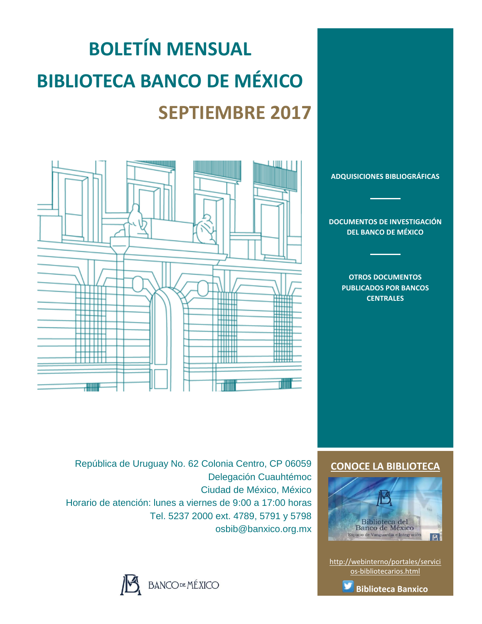# **BOLETÍN MENSUAL BIBLIOTECA BANCO DE MÉXICO SEPTIEMBRE 2017**



**[ADQUISICIONES BIBLIOGRÁFICAS](#page-1-0)**

**[DOCUMENTOS DE INVESTIGACIÓN](#page-2-0)  [DEL BANCO DE MÉXICO](#page-2-0)**

> **[OTROS DOCUMENTOS](#page-3-0)  [PUBLICADOS POR BANCOS](#page-3-0)  [CENTRALES](#page-3-0)**

**[CONOCE LA BIBLIOTECA](http://webinterno/portales/servicios-bibliotecarios.html)**



[http://webinterno/portales/servici](http://webinterno/portales/servicios-bibliotecarios.html) [os-bibliotecarios.html](http://webinterno/portales/servicios-bibliotecarios.html)



República de Uruguay No. 62 Colonia Centro, CP 06059 Delegación Cuauhtémoc Ciudad de México, México Horario de atención: lunes a viernes de 9:00 a 17:00 horas Tel. 5237 2000 ext. 4789, 5791 y 5798 osbib@banxico.org.mx

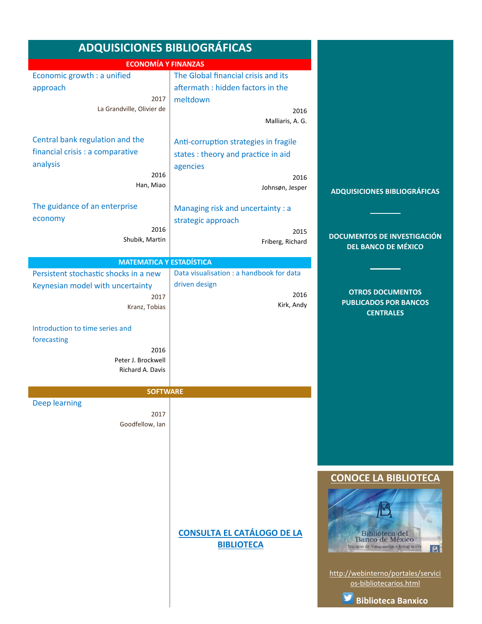<span id="page-1-0"></span>

| <b>ADQUISICIONES BIBLIOGRÁFICAS</b>    |                                          |                                          |
|----------------------------------------|------------------------------------------|------------------------------------------|
| <b>ECONOMÍA Y FINANZAS</b>             |                                          |                                          |
| Economic growth : a unified            | The Global financial crisis and its      |                                          |
| approach                               | aftermath: hidden factors in the         |                                          |
| 2017                                   | meltdown                                 |                                          |
| La Grandville, Olivier de              | 2016                                     |                                          |
|                                        | Malliaris, A. G.                         |                                          |
| Central bank regulation and the        | Anti-corruption strategies in fragile    |                                          |
| financial crisis : a comparative       | states : theory and practice in aid      |                                          |
| analysis                               | agencies                                 |                                          |
| 2016                                   | 2016                                     |                                          |
| Han, Miao                              | Johnsøn, Jesper                          | <b>ADQUISICIONES BIBLIOGRÁFICAS</b>      |
| The guidance of an enterprise          |                                          |                                          |
|                                        | Managing risk and uncertainty : a        |                                          |
| economy<br>2016                        | strategic approach                       |                                          |
| Shubik, Martin                         | 2015<br>Friberg, Richard                 | <b>DOCUMENTOS DE INVESTIGACIÓN</b>       |
|                                        |                                          | <b>DEL BANCO DE MÉXICO</b>               |
| <b>MATEMATICA Y ESTADÍSTICA</b>        |                                          |                                          |
| Persistent stochastic shocks in a new  | Data visualisation : a handbook for data |                                          |
| Keynesian model with uncertainty       | driven design<br>2016                    | <b>OTROS DOCUMENTOS</b>                  |
| 2017<br>Kranz, Tobias                  | Kirk, Andy                               | <b>PUBLICADOS POR BANCOS</b>             |
|                                        |                                          | <b>CENTRALES</b>                         |
| Introduction to time series and        |                                          |                                          |
| forecasting                            |                                          |                                          |
| 2016                                   |                                          |                                          |
| Peter J. Brockwell<br>Richard A. Davis |                                          |                                          |
|                                        |                                          |                                          |
| <b>SOFTWARE</b>                        |                                          |                                          |
| <b>Deep learning</b>                   |                                          |                                          |
| 2017                                   |                                          |                                          |
| Goodfellow, Ian                        |                                          |                                          |
|                                        |                                          |                                          |
|                                        |                                          |                                          |
|                                        |                                          |                                          |
|                                        |                                          | <b>CONOCE LA BIBLIOTECA</b>              |
|                                        |                                          |                                          |
|                                        |                                          |                                          |
|                                        |                                          |                                          |
|                                        | <b>CONSULTA EL CATÁLOGO DE LA</b>        | Biblioteca del<br>Banco de México        |
|                                        | <b>BIBLIOTECA</b>                        | Espacio de Vanguardia e Integración<br>B |
|                                        |                                          |                                          |
|                                        |                                          | http://webinterno/portales/servici       |
|                                        |                                          | os-bibliotecarios.html                   |
|                                        |                                          | <b>Biblioteca Banxico</b>                |
|                                        |                                          |                                          |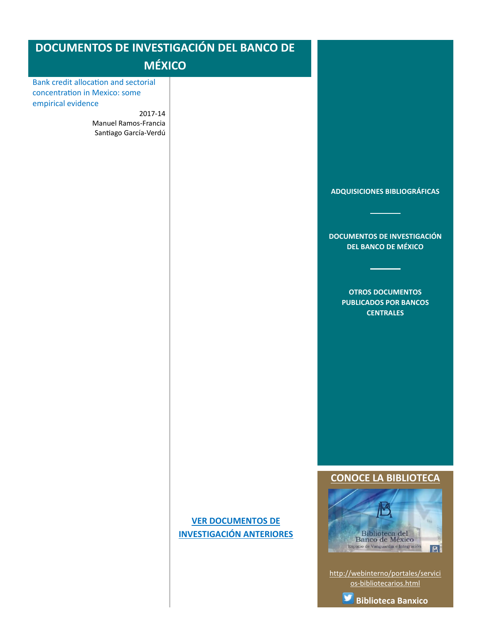<span id="page-2-0"></span>

| <b>DOCUMENTOS DE INVESTIGACIÓN DEL BANCO DE</b>                                                                                                                |                                                             |                                                                                                                                                                                 |
|----------------------------------------------------------------------------------------------------------------------------------------------------------------|-------------------------------------------------------------|---------------------------------------------------------------------------------------------------------------------------------------------------------------------------------|
| <b>MÉXICO</b>                                                                                                                                                  |                                                             |                                                                                                                                                                                 |
| <b>Bank credit allocation and sectorial</b><br>concentration in Mexico: some<br>empirical evidence<br>2017-14<br>Manuel Ramos-Francia<br>Santiago García-Verdú |                                                             | ADQUISICIONES BIBLIOGRÁFICAS<br><b>DOCUMENTOS DE INVESTIGACIÓN</b><br><b>DEL BANCO DE MÉXICO</b><br><b>OTROS DOCUMENTOS</b><br><b>PUBLICADOS POR BANCOS</b><br><b>CENTRALES</b> |
|                                                                                                                                                                | <b>VER DOCUMENTOS DE</b><br><b>INVESTIGACIÓN ANTERIORES</b> | <b>CONOCE LA BIBLIOTECA</b><br>Biblioteca del<br>Banco de México<br>Espacio de Vanguardia e Integración<br>B<br>http://webinterno/portales/servici<br>os-bibliotecarios.html    |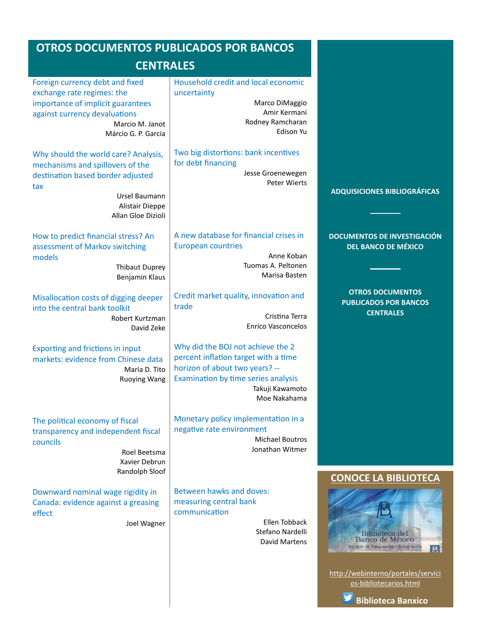# <span id="page-3-0"></span>**OTROS DOCUMENTOS PUBLICADOS POR BANCOS**

# **CENTRALES**

| Foreign currency debt and fixed<br>exchange rate regimes: the<br>importance of implicit guarantees<br>against currency devaluations<br>Marcio M. Janot<br>Márcio G. P. Garcia  | Household credit and local economic<br>uncertainty<br>Marco DiMaggio<br>Amir Kermani<br>Rodney Ramcharan<br>Edison Yu                                                                 |                                                                                                                     |
|--------------------------------------------------------------------------------------------------------------------------------------------------------------------------------|---------------------------------------------------------------------------------------------------------------------------------------------------------------------------------------|---------------------------------------------------------------------------------------------------------------------|
| Why should the world care? Analysis,<br>mechanisms and spillovers of the<br>destination based border adjusted<br>tax<br>Ursel Baumann<br>Alistair Dieppe<br>Allan Gloe Dizioli | Two big distortions: bank incentives<br>for debt financing<br>Jesse Groenewegen<br><b>Peter Wierts</b>                                                                                | <b>ADQUISICIONES BIBLIOGRÁFICAS</b>                                                                                 |
| How to predict financial stress? An<br>assessment of Markov switching<br>models<br><b>Thibaut Duprey</b><br>Benjamin Klaus                                                     | A new database for financial crises in<br><b>European countries</b><br>Anne Koban<br>Tuomas A. Peltonen<br>Marisa Basten                                                              | <b>DOCUMENTOS DE INVESTIGACIÓN</b><br><b>DEL BANCO DE MÉXICO</b>                                                    |
| Misallocation costs of digging deeper<br>into the central bank toolkit<br>Robert Kurtzman<br>David Zeke                                                                        | Credit market quality, innovation and<br>trade<br>Cristina Terra<br><b>Enrico Vasconcelos</b>                                                                                         | <b>OTROS DOCUMENTOS</b><br><b>PUBLICADOS POR BANCOS</b><br><b>CENTRALES</b>                                         |
| <b>Exporting and frictions in input</b><br>markets: evidence from Chinese data<br>Maria D. Tito<br><b>Ruoying Wang</b>                                                         | Why did the BOJ not achieve the 2<br>percent inflation target with a time<br>horizon of about two years? --<br>Examination by time series analysis<br>Takuji Kawamoto<br>Moe Nakahama |                                                                                                                     |
| The political economy of fiscal<br>transparency and independent fiscal<br>councils<br>Roel Beetsma<br>Xavier Debrun<br>Randolph Sloof                                          | Monetary policy implementation in a<br>negative rate environment<br><b>Michael Boutros</b><br>Jonathan Witmer                                                                         | <b>CONOCE LA BIBLIOTECA</b>                                                                                         |
| Downward nominal wage rigidity in<br>Canada: evidence against a greasing<br>effect<br>Joel Wagner                                                                              | Between hawks and doves:<br>measuring central bank<br>communication<br><b>Ellen Tobback</b><br>Stefano Nardelli<br>David Martens                                                      | Biblioteca del<br>Banco de México<br>Espacio de Vanguardia e Integración<br>B<br>http://webinterno/portales/servici |

v **[Biblioteca Banxico](http://twitter.com/bibliobanxico)**

[os-bibliotecarios.html](http://webinterno/portales/servicios-bibliotecarios.html)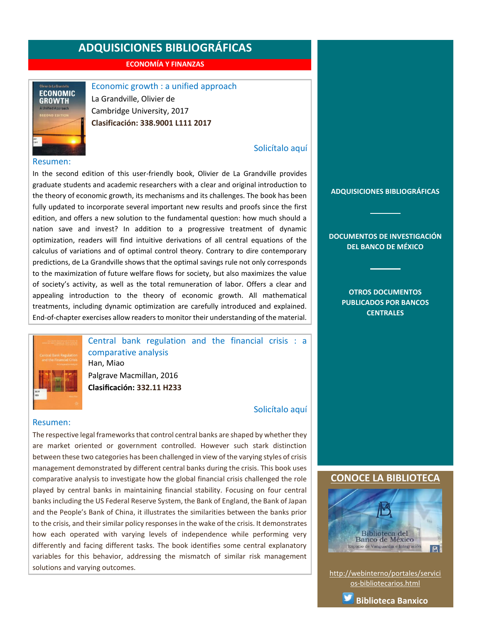**ECONOMÍA Y FINANZAS**

<span id="page-4-0"></span>

Economic growth : a unified approach

La Grandville, Olivier de Cambridge University, 2017 **Clasificación: 338.9001 L111 2017**

#### Resumen:

In the second edition of this user-friendly book, Olivier de La Grandville provides graduate students and academic researchers with a clear and original introduction to the theory of economic growth, its mechanisms and its challenges. The book has been fully updated to incorporate several important new results and proofs since the first edition, and offers a new solution to the fundamental question: how much should a nation save and invest? In addition to a progressive treatment of dynamic optimization, readers will find intuitive derivations of all central equations of the calculus of variations and of optimal control theory. Contrary to dire contemporary predictions, de La Grandville shows that the optimal savings rule not only corresponds to the maximization of future welfare flows for society, but also maximizes the value of society's activity, as well as the total remuneration of labor. Offers a clear and appealing introduction to the theory of economic growth. All mathematical treatments, including dynamic optimization are carefully introduced and explained. End-of-chapter exercises allow readers to monitor their understanding of the material.



Central bank regulation and the financial crisis : a comparative analysis Han, Miao Palgrave Macmillan, 2016 **Clasificación: 332.11 H233**

[Solicítalo aquí](mailto:osbib@banxico.org.mx?subject=+Solicito%20el%20siguiente%20material&body=Solicito%20en%20préstamo%20el%20siguiente%20título%20%22Central%20bank%20regulation%20and%20the%20financial%20crisis%22%20con%20clasificación%20332.11%20H233)

[Solicítalo aquí](mailto:osbib@banxico.org.mx?subject=+Solicito%20el%20siguiente%20material&body=Solicito%20en%20préstamo%20el%20siguiente%20título%20%22Economic%20growth%20:%20a%20unified%20approach%22%20con%20clasificación%20338.9001%20L111%202017)

#### Resumen:

The respective legal frameworks that control central banks are shaped by whether they are market oriented or government controlled. However such stark distinction between these two categories has been challenged in view of the varying styles of crisis management demonstrated by different central banks during the crisis. This book uses comparative analysis to investigate how the global financial crisis challenged the role played by central banks in maintaining financial stability. Focusing on four central banks including the US Federal Reserve System, the Bank of England, the Bank of Japan and the People's Bank of China, it illustrates the similarities between the banks prior to the crisis, and their similar policy responses in the wake of the crisis. It demonstrates how each operated with varying levels of independence while performing very differently and facing different tasks. The book identifies some central explanatory variables for this behavior, addressing the mismatch of similar risk management solutions and varying outcomes.

#### **[ADQUISICIONES BIBLIOGRÁFICAS](#page-1-0)**

**[DOCUMENTOS DE INVESTIGACIÓN](#page-2-0)  [DEL BANCO DE MÉXICO](#page-2-0)**

> **[OTROS DOCUMENTOS](#page-3-0)  [PUBLICADOS POR BANCOS](#page-3-0)  [CENTRALES](#page-3-0)**

#### **[CONOCE LA BIBLIOTECA](http://webinterno/portales/servicios-bibliotecarios.html)**



[http://webinterno/portales/servici](http://webinterno/portales/servicios-bibliotecarios.html) [os-bibliotecarios.html](http://webinterno/portales/servicios-bibliotecarios.html)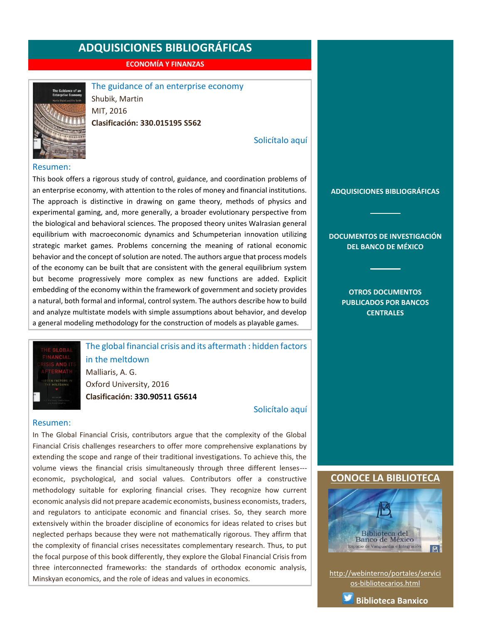**ECONOMÍA Y FINANZAS**

<span id="page-5-0"></span>

The guidance of an enterprise economy Shubik, Martin MIT, 2016 **Clasificación: 330.015195 S562**

#### [Solicítalo aquí](mailto:osbib@banxico.org.mx?subject=+Solicito%20el%20siguiente%20material&body=Solicito%20en%20préstamo%20el%20siguiente%20título%20%22The%20guidance%20of%20an%20enterprise%20economy%22%20con%20clasificación%20330.015195%20S562)

#### Resumen:

This book offers a rigorous study of control, guidance, and coordination problems of an enterprise economy, with attention to the roles of money and financial institutions. The approach is distinctive in drawing on game theory, methods of physics and experimental gaming, and, more generally, a broader evolutionary perspective from the biological and behavioral sciences. The proposed theory unites Walrasian general equilibrium with macroeconomic dynamics and Schumpeterian innovation utilizing strategic market games. Problems concerning the meaning of rational economic behavior and the concept of solution are noted. The authors argue that process models of the economy can be built that are consistent with the general equilibrium system but become progressively more complex as new functions are added. Explicit embedding of the economy within the framework of government and society provides a natural, both formal and informal, control system. The authors describe how to build and analyze multistate models with simple assumptions about behavior, and develop a general modeling methodology for the construction of models as playable games.

The global financial crisis and its aftermath : hidden factors in the meltdown Malliaris, A. G. Oxford University, 2016

**Clasificación: 330.90511 G5614**

[Solicítalo aquí](mailto:osbib@banxico.org.mx?subject=+Solicito%20el%20siguiente%20material&body=Solicito%20en%20préstamo%20el%20siguiente%20título%20%22The%20global%20financial%20crisis%20and%20its%20aftermath%22%20con%20clasificación%20330.90511%20G5614)

#### Resumen:

In The Global Financial Crisis, contributors argue that the complexity of the Global Financial Crisis challenges researchers to offer more comprehensive explanations by extending the scope and range of their traditional investigations. To achieve this, the volume views the financial crisis simultaneously through three different lenses-- economic, psychological, and social values. Contributors offer a constructive methodology suitable for exploring financial crises. They recognize how current economic analysis did not prepare academic economists, business economists, traders, and regulators to anticipate economic and financial crises. So, they search more extensively within the broader discipline of economics for ideas related to crises but neglected perhaps because they were not mathematically rigorous. They affirm that the complexity of financial crises necessitates complementary research. Thus, to put the focal purpose of this book differently, they explore the Global Financial Crisis from three interconnected frameworks: the standards of orthodox economic analysis, Minskyan economics, and the role of ideas and values in economics.

#### **[ADQUISICIONES BIBLIOGRÁFICAS](#page-1-0)**

**[DOCUMENTOS DE INVESTIGACIÓN](#page-2-0)  [DEL BANCO DE MÉXICO](#page-2-0)**

> **[OTROS DOCUMENTOS](#page-3-0)  [PUBLICADOS POR BANCOS](#page-3-0)  [CENTRALES](#page-3-0)**

#### **[CONOCE LA BIBLIOTECA](http://webinterno/portales/servicios-bibliotecarios.html)**



[http://webinterno/portales/servici](http://webinterno/portales/servicios-bibliotecarios.html) [os-bibliotecarios.html](http://webinterno/portales/servicios-bibliotecarios.html)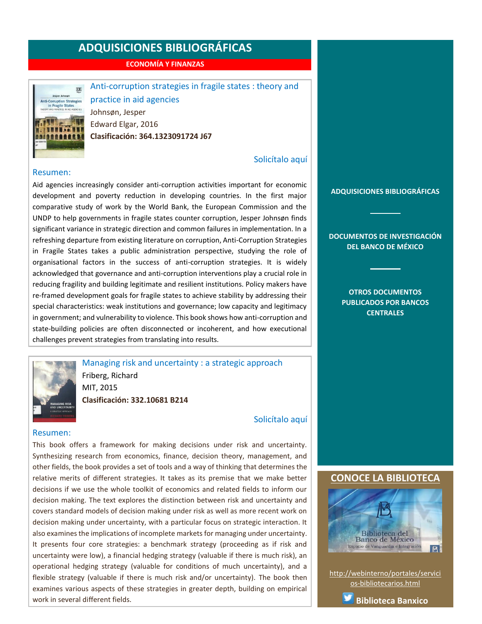**ECONOMÍA Y FINANZAS**

<span id="page-6-0"></span>

Anti-corruption strategies in fragile states : theory and practice in aid agencies Johnsøn, Jesper Edward Elgar, 2016 **Clasificación: 364.1323091724 J67**

#### [Solicítalo aquí](mailto:osbib@banxico.org.mx?subject=+Solicito%20el%20siguiente%20material&body=Solicito%20en%20préstamo%20el%20siguiente%20título%20%22Anti-corruption%20strategies%20in%20fragile%20states%22%20con%20clasificación%20364.1323091724%20J67)

#### Resumen:

Aid agencies increasingly consider anti-corruption activities important for economic development and poverty reduction in developing countries. In the first major comparative study of work by the World Bank, the European Commission and the UNDP to help governments in fragile states counter corruption, Jesper Johnsøn finds significant variance in strategic direction and common failures in implementation. In a refreshing departure from existing literature on corruption, Anti-Corruption Strategies in Fragile States takes a public administration perspective, studying the role of organisational factors in the success of anti-corruption strategies. It is widely acknowledged that governance and anti-corruption interventions play a crucial role in reducing fragility and building legitimate and resilient institutions. Policy makers have re-framed development goals for fragile states to achieve stability by addressing their special characteristics: weak institutions and governance; low capacity and legitimacy in government; and vulnerability to violence. This book shows how anti-corruption and state-building policies are often disconnected or incoherent, and how executional challenges prevent strategies from translating into results.



Managing risk and uncertainty : a strategic approach Friberg, Richard MIT, 2015 **Clasificación: 332.10681 B214**

[Solicítalo aquí](mailto:osbib@banxico.org.mx?subject=+Solicito%20el%20siguiente%20material&body=Solicito%20en%20préstamo%20el%20siguiente%20título%20%22Managing%20risk%20and%20uncertainty%22%20con%20clasificación%20332.10681%20B214)

#### Resumen:

This book offers a framework for making decisions under risk and uncertainty. Synthesizing research from economics, finance, decision theory, management, and other fields, the book provides a set of tools and a way of thinking that determines the relative merits of different strategies. It takes as its premise that we make better decisions if we use the whole toolkit of economics and related fields to inform our decision making. The text explores the distinction between risk and uncertainty and covers standard models of decision making under risk as well as more recent work on decision making under uncertainty, with a particular focus on strategic interaction. It also examines the implications of incomplete markets for managing under uncertainty. It presents four core strategies: a benchmark strategy (proceeding as if risk and uncertainty were low), a financial hedging strategy (valuable if there is much risk), an operational hedging strategy (valuable for conditions of much uncertainty), and a flexible strategy (valuable if there is much risk and/or uncertainty). The book then examines various aspects of these strategies in greater depth, building on empirical work in several different fields.

**[ADQUISICIONES BIBLIOGRÁFICAS](#page-1-0)**

**[DOCUMENTOS DE INVESTIGACIÓN](#page-2-0)  [DEL BANCO DE MÉXICO](#page-2-0)**

> **[OTROS DOCUMENTOS](#page-3-0)  [PUBLICADOS POR BANCOS](#page-3-0)  [CENTRALES](#page-3-0)**

#### **[CONOCE LA BIBLIOTECA](http://webinterno/portales/servicios-bibliotecarios.html)**



[http://webinterno/portales/servici](http://webinterno/portales/servicios-bibliotecarios.html) [os-bibliotecarios.html](http://webinterno/portales/servicios-bibliotecarios.html)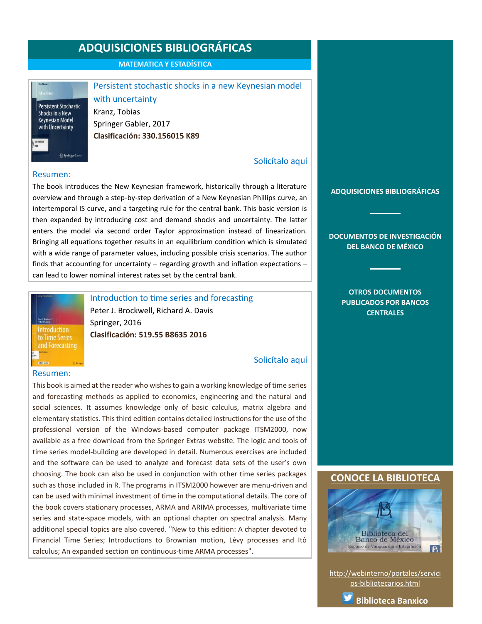**MATEMATICA Y ESTADÍSTICA**

<span id="page-7-0"></span>**Persistent Stochastic** Shocks in a New **Keynesian Model** with Uncertainty Springer Gabk

## Persistent stochastic shocks in a new Keynesian model with uncertainty Kranz, Tobias Springer Gabler, 2017

**Clasificación: 330.156015 K89**

### [Solicítalo aquí](mailto:osbib@banxico.org.mx?subject=+Solicito%20el%20siguiente%20material&body=Solicito%20en%20préstamo%20el%20siguiente%20título%20%22Persistent%20stochastic%20shocks%20in%20a%20new%20Keynesian%20model%20with%20uncertainty%22%20con%20clasificación%20330.156015%20K89)

#### Resumen:

The book introduces the New Keynesian framework, historically through a literature overview and through a step-by-step derivation of a New Keynesian Phillips curve, an intertemporal IS curve, and a targeting rule for the central bank. This basic version is then expanded by introducing cost and demand shocks and uncertainty. The latter enters the model via second order Taylor approximation instead of linearization. Bringing all equations together results in an equilibrium condition which is simulated with a wide range of parameter values, including possible crisis scenarios. The author finds that accounting for uncertainty – regarding growth and inflation expectations – can lead to lower nominal interest rates set by the central bank.



Introduction to time series and forecasting Peter J. Brockwell, Richard A. Davis Springer, 2016 **Clasificación: 519.55 B8635 2016**

### [Solicítalo aquí](mailto:osbib@banxico.org.mx?subject=+Solicito%20el%20siguiente%20material&body=Solicito%20en%20préstamo%20el%20siguiente%20título%20%22Introduction%20to%20time%20series%20and%20forecasting%22%20con%20clasificación%20519.55%20B8635%202016)

This book is aimed at the reader who wishes to gain a working knowledge of time series and forecasting methods as applied to economics, engineering and the natural and social sciences. It assumes knowledge only of basic calculus, matrix algebra and elementary statistics. This third edition contains detailed instructions for the use of the professional version of the Windows-based computer package ITSM2000, now available as a free download from the Springer Extras website. The logic and tools of time series model-building are developed in detail. Numerous exercises are included and the software can be used to analyze and forecast data sets of the user's own choosing. The book can also be used in conjunction with other time series packages such as those included in R. The programs in ITSM2000 however are menu-driven and can be used with minimal investment of time in the computational details. The core of the book covers stationary processes, ARMA and ARIMA processes, multivariate time series and state-space models, with an optional chapter on spectral analysis. Many additional special topics are also covered. "New to this edition: A chapter devoted to Financial Time Series; Introductions to Brownian motion, Lévy processes and Itô calculus; An expanded section on continuous-time ARMA processes".

**[ADQUISICIONES BIBLIOGRÁFICAS](#page-1-0)**

**[DOCUMENTOS DE INVESTIGACIÓN](#page-2-0)  [DEL BANCO DE MÉXICO](#page-2-0)**

> **[OTROS DOCUMENTOS](#page-3-0)  [PUBLICADOS POR BANCOS](#page-3-0)  [CENTRALES](#page-3-0)**

#### **[CONOCE LA BIBLIOTECA](http://webinterno/portales/servicios-bibliotecarios.html)**



[http://webinterno/portales/servici](http://webinterno/portales/servicios-bibliotecarios.html) [os-bibliotecarios.html](http://webinterno/portales/servicios-bibliotecarios.html)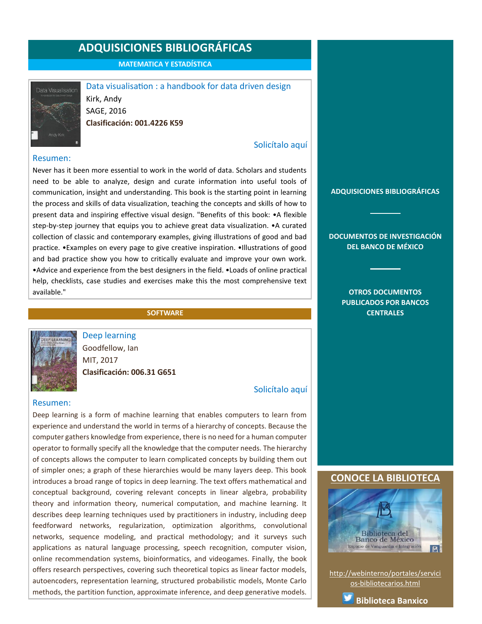**MATEMATICA Y ESTADÍSTICA**

<span id="page-8-0"></span>

Data visualisation : a handbook for data driven design Kirk, Andy SAGE, 2016 **Clasificación: 001.4226 K59**

#### Resumen:

Never has it been more essential to work in the world of data. Scholars and students need to be able to analyze, design and curate information into useful tools of communication, insight and understanding. This book is the starting point in learning the process and skills of data visualization, teaching the concepts and skills of how to present data and inspiring effective visual design. "Benefits of this book: •A flexible step-by-step journey that equips you to achieve great data visualization. •A curated collection of classic and contemporary examples, giving illustrations of good and bad practice. •Examples on every page to give creative inspiration. •Illustrations of good and bad practice show you how to critically evaluate and improve your own work. •Advice and experience from the best designers in the field. •Loads of online practical help, checklists, case studies and exercises make this the most comprehensive text available."

#### **SOFTWARE**



Goodfellow, Ian MIT, 2017 **Clasificación: 006.31 G651**

Deep learning

#### [Solicítalo aquí](mailto:osbib@banxico.org.mx?subject=+Solicito%20el%20siguiente%20material&body=Solicito%20en%20préstamo%20el%20siguiente%20título%20%22Deep%20learning%22%20con%20clasificación%20006.31%20G651)

[Solicítalo aquí](mailto:osbib@banxico.org.mx?subject=+Solicito%20el%20siguiente%20material&body=Solicito%20en%20préstamo%20el%20siguiente%20título%20%22Data%20visualisation%22%20con%20clasificación%20001.4226%20K59)

#### Resumen:

Deep learning is a form of machine learning that enables computers to learn from experience and understand the world in terms of a hierarchy of concepts. Because the computer gathers knowledge from experience, there is no need for a human computer operator to formally specify all the knowledge that the computer needs. The hierarchy of concepts allows the computer to learn complicated concepts by building them out of simpler ones; a graph of these hierarchies would be many layers deep. This book introduces a broad range of topics in deep learning. The text offers mathematical and conceptual background, covering relevant concepts in linear algebra, probability theory and information theory, numerical computation, and machine learning. It describes deep learning techniques used by practitioners in industry, including deep feedforward networks, regularization, optimization algorithms, convolutional networks, sequence modeling, and practical methodology; and it surveys such applications as natural language processing, speech recognition, computer vision, online recommendation systems, bioinformatics, and videogames. Finally, the book offers research perspectives, covering such theoretical topics as linear factor models, autoencoders, representation learning, structured probabilistic models, Monte Carlo methods, the partition function, approximate inference, and deep generative models.

#### **[ADQUISICIONES BIBLIOGRÁFICAS](#page-1-0)**

**[DOCUMENTOS DE INVESTIGACIÓN](#page-2-0)  [DEL BANCO DE MÉXICO](#page-2-0)**

#### **[OTROS DOCUMENTOS](#page-3-0)  [PUBLICADOS POR BANCOS](#page-3-0)  [CENTRALES](#page-3-0)**

#### **[CONOCE LA BIBLIOTECA](http://webinterno/portales/servicios-bibliotecarios.html)**



[http://webinterno/portales/servici](http://webinterno/portales/servicios-bibliotecarios.html) [os-bibliotecarios.html](http://webinterno/portales/servicios-bibliotecarios.html)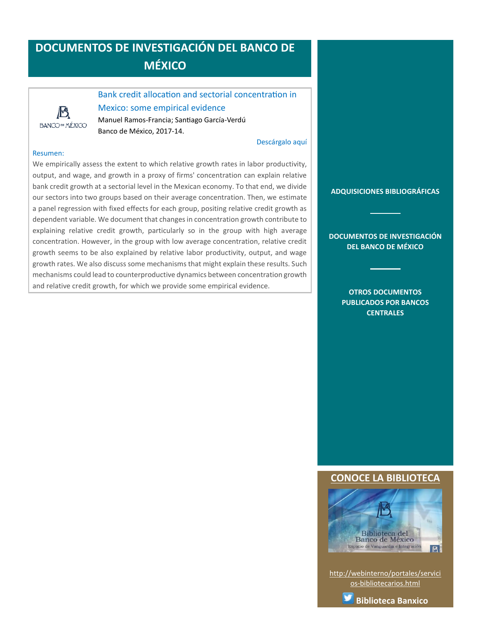# <span id="page-9-0"></span>**DOCUMENTOS DE INVESTIGACIÓN DEL BANCO DE MÉXICO**

# 13 **BANCO DE MÉXICO**

## Bank credit allocation and sectorial concentration in Mexico: some empirical evidence

Manuel Ramos-Francia; Santiago García-Verdú Banco de México, 2017-14.

#### [Descárgalo aquí](http://www.banxico.org.mx/publicaciones-y-discursos/publicaciones/documentos-de-investigacion/banxico/%7B5A9275A0-1312-24C8-C133-6F73DF0C81DB%7D.pdf)

#### Resumen:

We empirically assess the extent to which relative growth rates in labor productivity, output, and wage, and growth in a proxy of firms' concentration can explain relative bank credit growth at a sectorial level in the Mexican economy. To that end, we divide our sectors into two groups based on their average concentration. Then, we estimate a panel regression with fixed effects for each group, positing relative credit growth as dependent variable. We document that changes in concentration growth contribute to explaining relative credit growth, particularly so in the group with high average concentration. However, in the group with low average concentration, relative credit growth seems to be also explained by relative labor productivity, output, and wage growth rates. We also discuss some mechanisms that might explain these results. Such mechanisms could lead to counterproductive dynamics between concentration growth and relative credit growth, for which we provide some empirical evidence.

**[ADQUISICIONES BIBLIOGRÁFICAS](#page-1-0)**

#### **[DOCUMENTOS DE INVESTIGACIÓN](#page-2-0)  [DEL BANCO DE MÉXICO](#page-2-0)**

**[OTROS DOCUMENTOS](#page-3-0)  [PUBLICADOS POR BANCOS](#page-3-0)  [CENTRALES](#page-3-0)**

### **[CONOCE LA BIBLIOTECA](http://webinterno/portales/servicios-bibliotecarios.html)**



[http://webinterno/portales/servici](http://webinterno/portales/servicios-bibliotecarios.html) [os-bibliotecarios.html](http://webinterno/portales/servicios-bibliotecarios.html)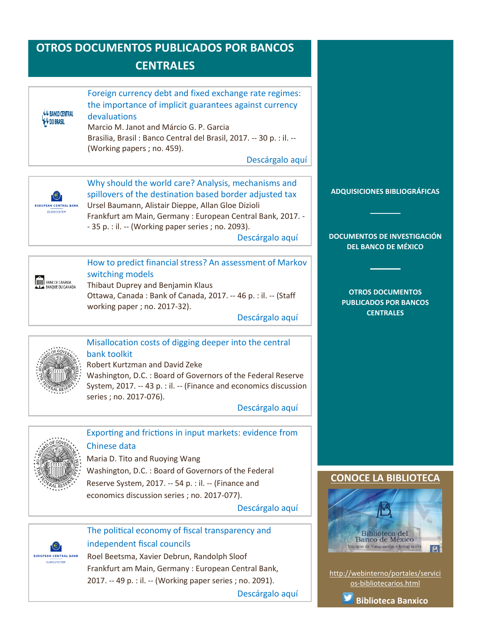# <span id="page-10-0"></span>**OTROS DOCUMENTOS PUBLICADOS POR BANCOS CENTRALES**

| L L BANÇO CENTRAL<br><b>W</b> & DO BRASIL | Foreign currency debt and fixed exchange rate regimes:<br>the importance of implicit guarantees against currency<br>devaluations<br>Marcio M. Janot and Márcio G. P. Garcia<br>Brasilia, Brasil: Banco Central del Brasil, 2017. -- 30 p. : il. --<br>(Working papers; no. 459). |
|-------------------------------------------|----------------------------------------------------------------------------------------------------------------------------------------------------------------------------------------------------------------------------------------------------------------------------------|
|                                           | Descárgalo aquí                                                                                                                                                                                                                                                                  |

**EUROPEAN CENTRAL BANK EUROSYSTEM** 

Why should the world care? Analysis, mechanisms and spillovers of the destination based border adjusted tax Ursel Baumann, Alistair Dieppe, Allan Gloe Dizioli Frankfurt am Main, Germany : European Central Bank, 2017. - - 35 p. : il. -- (Working paper series ; no. 2093).

[Descárgalo aquí](http://www.ecb.europa.eu/pub/pdf/scpwps/ecb.wp2093.en.pdf?2b2ebee8aff9751e6f10d0d3946ad1fc)

### How to predict financial stress? An assessment of Markov switching models

**HELL BANK DE CANADA** 

## Thibaut Duprey and Benjamin Klaus Ottawa, Canada : Bank of Canada, 2017. -- 46 p. : il. -- (Staff working paper ; no. 2017-32).

[Descárgalo aquí](http://www.bankofcanada.ca/wp-content/uploads/2017/08/swp2017-32.pdf)



### Misallocation costs of digging deeper into the central bank toolkit

Robert Kurtzman and David Zeke

Washington, D.C. : Board of Governors of the Federal Reserve System, 2017. -- 43 p. : il. -- (Finance and economics discussion series ; no. 2017-076).

[Descárgalo aquí](https://www.federalreserve.gov/econres/feds/files/2017076pap.pdf)



### Exporting and frictions in input markets: evidence from Chinese data

Maria D. Tito and Ruoying Wang Washington, D.C. : Board of Governors of the Federal Reserve System, 2017. -- 54 p. : il. -- (Finance and economics discussion series ; no. 2017-077).

[Descárgalo aquí](https://www.federalreserve.gov/econres/feds/files/2017077pap.pdf)



### The political economy of fiscal transparency and independent fiscal councils

Roel Beetsma, Xavier Debrun, Randolph Sloof Frankfurt am Main, Germany : European Central Bank, 2017. -- 49 p. : il. -- (Working paper series ; no. 2091).

[Descárgalo aquí](http://www.ecb.europa.eu/pub/pdf/scpwps/ecb.wp2091.en.pdf?db7b44c2a74b8050d9863c5276c914af)

### **[ADQUISICIONES BIBLIOGRÁFICAS](#page-1-0)**

**[DOCUMENTOS DE INVESTIGACIÓN](#page-2-0)  [DEL BANCO DE MÉXICO](#page-2-0)**

> **[OTROS DOCUMENTOS](#page-3-0)  [PUBLICADOS POR BANCOS](#page-3-0)  [CENTRALES](#page-3-0)**

### **CONOCE LA BIBLIOTEC**



[http://webinterno/portales/servici](http://webinterno/portales/servicios-bibliotecarios.html) [os-bibliotecarios.html](http://webinterno/portales/servicios-bibliotecarios.html)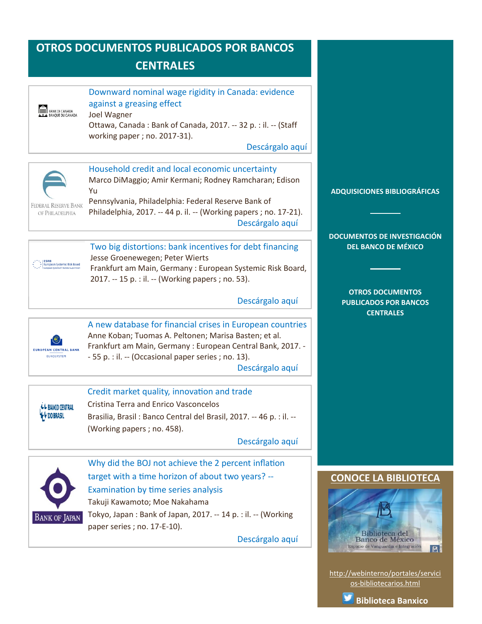# <span id="page-11-0"></span>**OTROS DOCUMENTOS PUBLICADOS POR BANCOS CENTRALES**



[http://webinterno/portales/servici](http://webinterno/portales/servicios-bibliotecarios.html) [os-bibliotecarios.html](http://webinterno/portales/servicios-bibliotecarios.html)